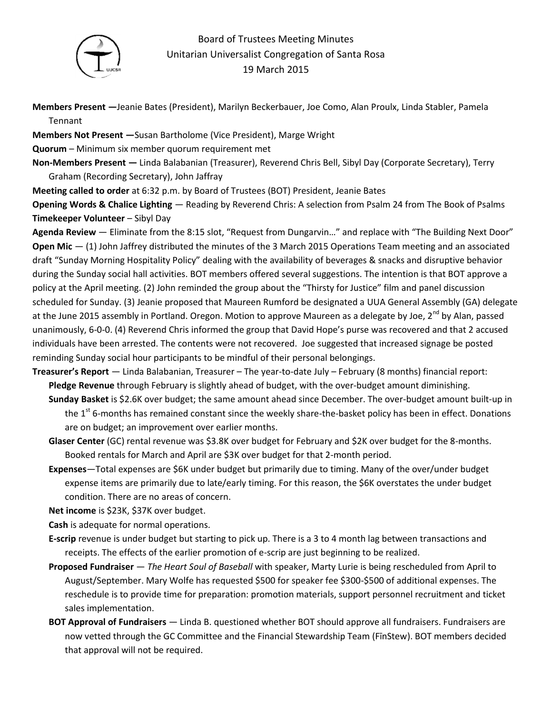

## Board of Trustees Meeting Minutes Unitarian Universalist Congregation of Santa Rosa 19 March 2015

**Members Present —**Jeanie Bates (President), Marilyn Beckerbauer, Joe Como, Alan Proulx, Linda Stabler, Pamela Tennant

**Members Not Present —**Susan Bartholome (Vice President), Marge Wright

**Quorum** – Minimum six member quorum requirement met

**Non-Members Present —** Linda Balabanian (Treasurer), Reverend Chris Bell, Sibyl Day (Corporate Secretary), Terry Graham (Recording Secretary), John Jaffray

**Meeting called to order** at 6:32 p.m. by Board of Trustees (BOT) President, Jeanie Bates

**Opening Words & Chalice Lighting** — Reading by Reverend Chris: A selection from Psalm 24 from The Book of Psalms **Timekeeper Volunteer** – Sibyl Day

**Agenda Review** — Eliminate from the 8:15 slot, "Request from Dungarvin…" and replace with "The Building Next Door" **Open Mic** — (1) John Jaffrey distributed the minutes of the 3 March 2015 Operations Team meeting and an associated draft "Sunday Morning Hospitality Policy" dealing with the availability of beverages & snacks and disruptive behavior during the Sunday social hall activities. BOT members offered several suggestions. The intention is that BOT approve a policy at the April meeting. (2) John reminded the group about the "Thirsty for Justice" film and panel discussion scheduled for Sunday. (3) Jeanie proposed that Maureen Rumford be designated a UUA General Assembly (GA) delegate at the June 2015 assembly in Portland. Oregon. Motion to approve Maureen as a delegate by Joe, 2<sup>nd</sup> by Alan, passed unanimously, 6-0-0. (4) Reverend Chris informed the group that David Hope's purse was recovered and that 2 accused individuals have been arrested. The contents were not recovered. Joe suggested that increased signage be posted reminding Sunday social hour participants to be mindful of their personal belongings.

- **Treasurer's Report** Linda Balabanian, Treasurer The year-to-date July February (8 months) financial report: **Pledge Revenue** through February is slightly ahead of budget, with the over-budget amount diminishing.
	- **Sunday Basket** is \$2.6K over budget; the same amount ahead since December. The over-budget amount built-up in the 1<sup>st</sup> 6-months has remained constant since the weekly share-the-basket policy has been in effect. Donations are on budget; an improvement over earlier months.
	- **Glaser Center** (GC) rental revenue was \$3.8K over budget for February and \$2K over budget for the 8-months. Booked rentals for March and April are \$3K over budget for that 2-month period.
	- **Expenses**—Total expenses are \$6K under budget but primarily due to timing. Many of the over/under budget expense items are primarily due to late/early timing. For this reason, the \$6K overstates the under budget condition. There are no areas of concern.

**Net income** is \$23K, \$37K over budget.

**Cash** is adequate for normal operations.

- **E-scrip** revenue is under budget but starting to pick up. There is a 3 to 4 month lag between transactions and receipts. The effects of the earlier promotion of e-scrip are just beginning to be realized.
- **Proposed Fundraiser** *The Heart Soul of Baseball* with speaker, Marty Lurie is being rescheduled from April to August/September. Mary Wolfe has requested \$500 for speaker fee \$300-\$500 of additional expenses. The reschedule is to provide time for preparation: promotion materials, support personnel recruitment and ticket sales implementation.
- **BOT Approval of Fundraisers**  Linda B. questioned whether BOT should approve all fundraisers. Fundraisers are now vetted through the GC Committee and the Financial Stewardship Team (FīnStew). BOT members decided that approval will not be required.